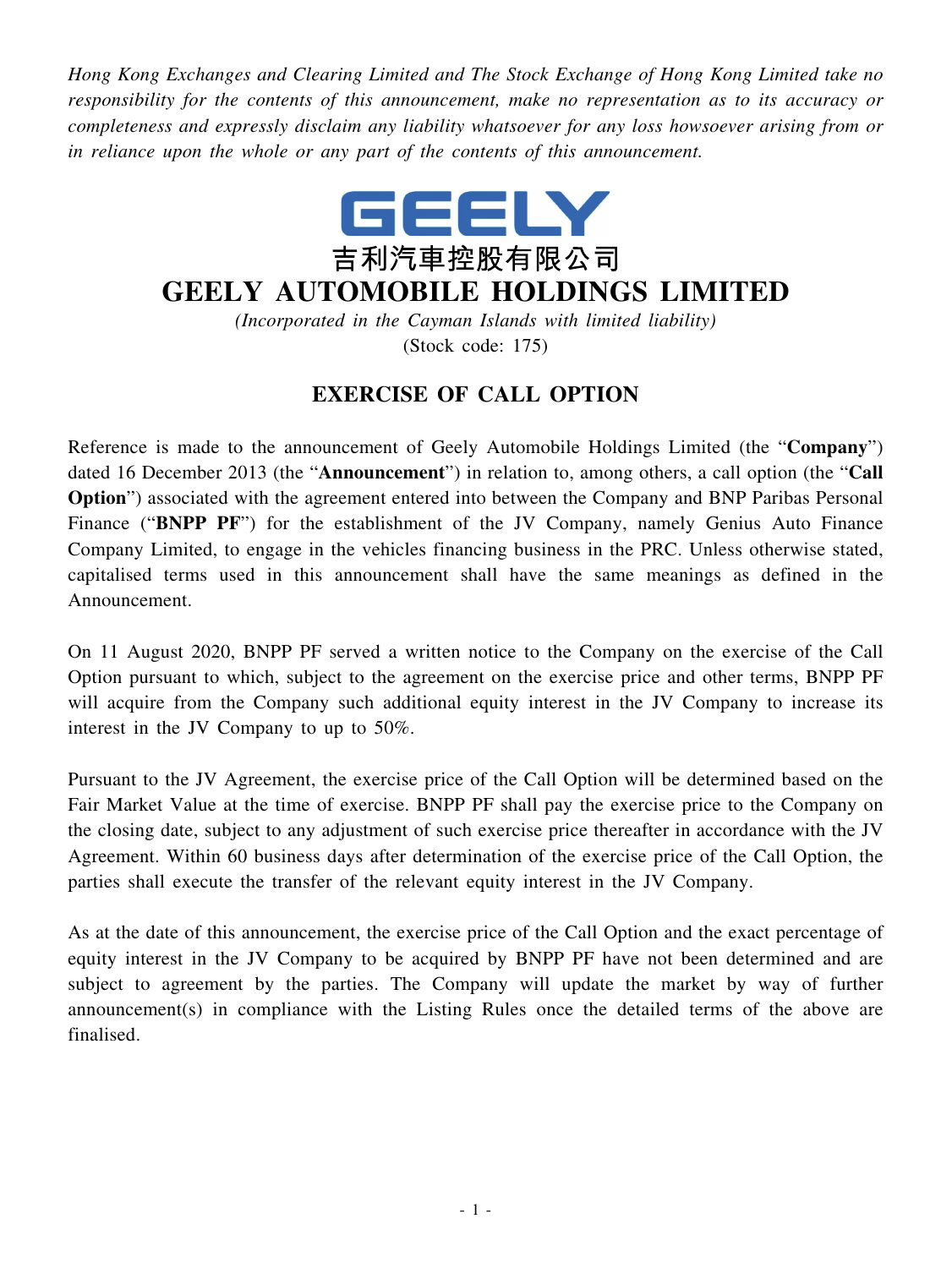*Hong Kong Exchanges and Clearing Limited and The Stock Exchange of Hong Kong Limited take no responsibility for the contents of this announcement, make no representation as to its accuracy or completeness and expressly disclaim any liability whatsoever for any loss howsoever arising from or in reliance upon the whole or any part of the contents of this announcement.*



## **GEELY AUTOMOBILE HOLDINGS LIMITED**

*(Incorporated in the Cayman Islands with limited liability)* (Stock code: 175)

## **EXERCISE OF CALL OPTION**

Reference is made to the announcement of Geely Automobile Holdings Limited (the "**Company**") dated 16 December 2013 (the "**Announcement**") in relation to, among others, a call option (the "**Call Option**") associated with the agreement entered into between the Company and BNP Paribas Personal Finance ("**BNPP PF**") for the establishment of the JV Company, namely Genius Auto Finance Company Limited, to engage in the vehicles financing business in the PRC. Unless otherwise stated, capitalised terms used in this announcement shall have the same meanings as defined in the Announcement.

On 11 August 2020, BNPP PF served a written notice to the Company on the exercise of the Call Option pursuant to which, subject to the agreement on the exercise price and other terms, BNPP PF will acquire from the Company such additional equity interest in the JV Company to increase its interest in the JV Company to up to 50%.

Pursuant to the JV Agreement, the exercise price of the Call Option will be determined based on the Fair Market Value at the time of exercise. BNPP PF shall pay the exercise price to the Company on the closing date, subject to any adjustment of such exercise price thereafter in accordance with the JV Agreement. Within 60 business days after determination of the exercise price of the Call Option, the parties shall execute the transfer of the relevant equity interest in the JV Company.

As at the date of this announcement, the exercise price of the Call Option and the exact percentage of equity interest in the JV Company to be acquired by BNPP PF have not been determined and are subject to agreement by the parties. The Company will update the market by way of further announcement(s) in compliance with the Listing Rules once the detailed terms of the above are finalised.